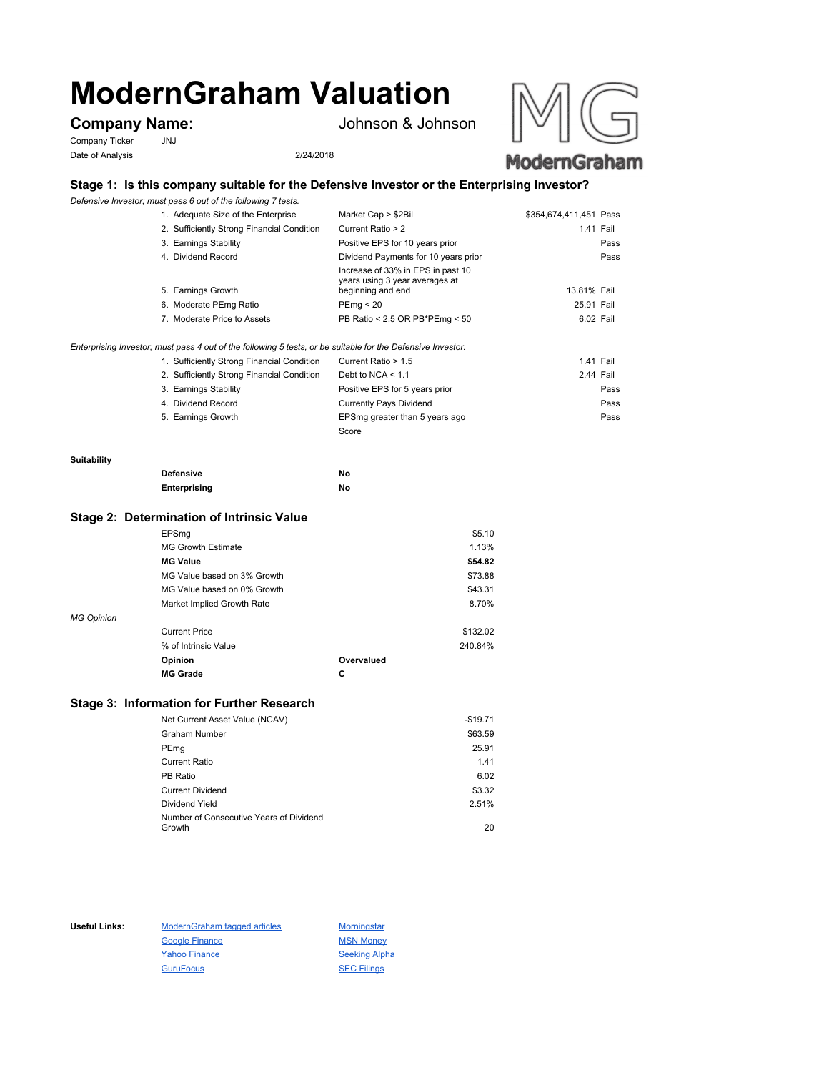# **ModernGraham Valuation**

Company Ticker JNJ Date of Analysis 2/24/2018

**Company Name:** Johnson & Johnson





# **Stage 1: Is this company suitable for the Defensive Investor or the Enterprising Investor?**

*Defensive Investor; must pass 6 out of the following 7 tests.*

| 2. Sufficiently Strong Financial Condition<br>3. Earnings Stability<br>4. Dividend Record | Current Ratio > 2<br>Positive EPS for 10 years prior<br>Dividend Payments for 10 years prior | 1.41 Fail                                                     | Pass<br>Pass |
|-------------------------------------------------------------------------------------------|----------------------------------------------------------------------------------------------|---------------------------------------------------------------|--------------|
|                                                                                           |                                                                                              |                                                               |              |
|                                                                                           |                                                                                              |                                                               |              |
|                                                                                           |                                                                                              |                                                               |              |
| 5. Earnings Growth                                                                        | Increase of 33% in EPS in past 10<br>years using 3 year averages at<br>beginning and end     | 13.81% Fail                                                   |              |
| 6. Moderate PEmg Ratio                                                                    | PEmq < 20                                                                                    | 25.91 Fail                                                    |              |
|                                                                                           |                                                                                              | 6.02 Fail                                                     |              |
|                                                                                           |                                                                                              | PB Ratio < 2.5 OR PB*PEmg < 50<br>7. Moderate Price to Assets |              |

*Enterprising Investor; must pass 4 out of the following 5 tests, or be suitable for the Defensive Investor.*

| 1. Sufficiently Strong Financial Condition | Current Ratio > 1.5            | 1.41 Fail |
|--------------------------------------------|--------------------------------|-----------|
| 2. Sufficiently Strong Financial Condition | Debt to NCA $<$ 1.1            | 2.44 Fail |
| 3. Earnings Stability                      | Positive EPS for 5 years prior | Pass      |
| 4. Dividend Record                         | <b>Currently Pays Dividend</b> | Pass      |
| 5. Earnings Growth                         | EPSmg greater than 5 years ago | Pass      |
|                                            | Score                          |           |

#### **Suitability**

| <b>Defensive</b> | Νo |
|------------------|----|
| Enterprising     | Νo |

### **Stage 2: Determination of Intrinsic Value**

|                   | EPSmg                       |            | \$5.10   |
|-------------------|-----------------------------|------------|----------|
|                   | <b>MG Growth Estimate</b>   |            | 1.13%    |
|                   | <b>MG Value</b>             |            | \$54.82  |
|                   | MG Value based on 3% Growth |            | \$73.88  |
|                   | MG Value based on 0% Growth |            | \$43.31  |
|                   | Market Implied Growth Rate  |            | 8.70%    |
| <b>MG Opinion</b> |                             |            |          |
|                   | <b>Current Price</b>        |            | \$132.02 |
|                   | % of Intrinsic Value        |            | 240.84%  |
|                   | Opinion                     | Overvalued |          |
|                   | <b>MG Grade</b>             | С          |          |
|                   |                             |            |          |

## **Stage 3: Information for Further Research**

| Net Current Asset Value (NCAV)          | $-$19.71$ |
|-----------------------------------------|-----------|
| Graham Number                           | \$63.59   |
| PEmg                                    | 25.91     |
| Current Ratio                           | 1.41      |
| PB Ratio                                | 6.02      |
| <b>Current Dividend</b>                 | \$3.32    |
| Dividend Yield                          | 2.51%     |
| Number of Consecutive Years of Dividend |           |
| Growth                                  | 20        |

Useful Links: ModernGraham tagged articles Morningstar Google Finance MSN Money Yahoo Finance Seeking Alpha GuruFocus SEC Filings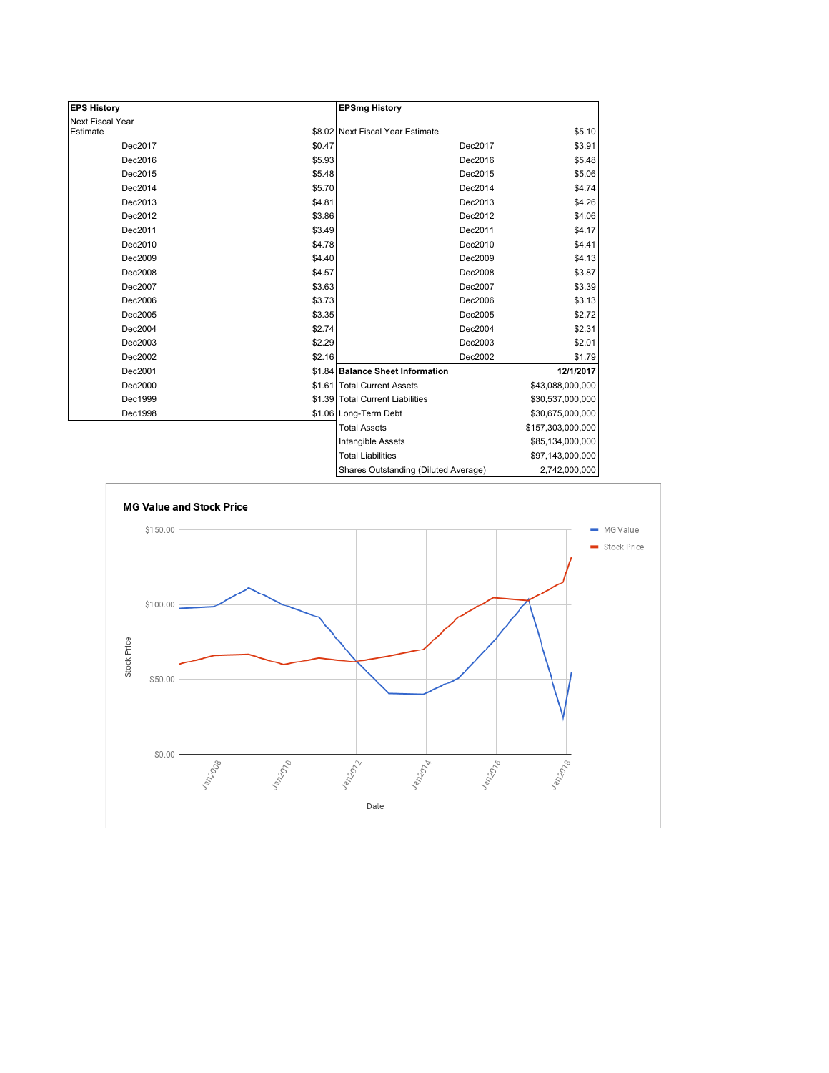| <b>EPS History</b> |        | <b>EPSmg History</b>                 |                   |
|--------------------|--------|--------------------------------------|-------------------|
| Next Fiscal Year   |        |                                      |                   |
| Estimate           |        | \$8.02 Next Fiscal Year Estimate     | \$5.10            |
| Dec2017            | \$0.47 | Dec2017                              | \$3.91            |
| Dec2016            | \$5.93 | Dec2016                              | \$5.48            |
| Dec2015            | \$5.48 | Dec2015                              | \$5.06            |
| Dec2014            | \$5.70 | Dec2014                              | \$4.74            |
| Dec2013            | \$4.81 | Dec2013                              | \$4.26            |
| Dec2012            | \$3.86 | Dec2012                              | \$4.06            |
| Dec2011            | \$3.49 | Dec2011                              | \$4.17            |
| Dec2010            | \$4.78 | Dec2010                              | \$4.41            |
| Dec2009            | \$4.40 | Dec2009                              | \$4.13            |
| Dec2008            | \$4.57 | Dec2008                              | \$3.87            |
| Dec2007            | \$3.63 | Dec2007                              | \$3.39            |
| Dec2006            | \$3.73 | Dec2006                              | \$3.13            |
| Dec2005            | \$3.35 | Dec2005                              | \$2.72            |
| Dec2004            | \$2.74 | Dec2004                              | \$2.31            |
| Dec2003            | \$2.29 | Dec2003                              | \$2.01            |
| Dec2002            | \$2.16 | Dec2002                              | \$1.79            |
| Dec2001            |        | \$1.84 Balance Sheet Information     | 12/1/2017         |
| Dec2000            |        | \$1.61 Total Current Assets          | \$43,088,000,000  |
| Dec1999            |        | \$1.39 Total Current Liabilities     | \$30,537,000,000  |
| Dec1998            |        | \$1.06 Long-Term Debt                | \$30,675,000,000  |
|                    |        | <b>Total Assets</b>                  | \$157,303,000,000 |
|                    |        | Intangible Assets                    | \$85,134,000,000  |
|                    |        | <b>Total Liabilities</b>             | \$97,143,000,000  |
|                    |        | Charge Qutetanding (Diluted Average) | 2.742.000.000     |